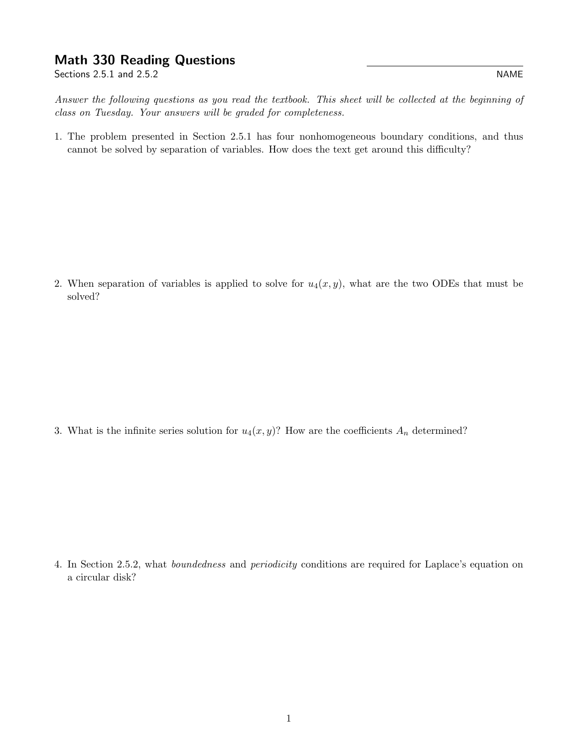## Math 330 Reading Questions

Sections 2.5.1 and 2.5.2

Answer the following questions as you read the textbook. This sheet will be collected at the beginning of class on Tuesday. Your answers will be graded for completeness.

1. The problem presented in Section 2.5.1 has four nonhomogeneous boundary conditions, and thus cannot be solved by separation of variables. How does the text get around this difficulty?

2. When separation of variables is applied to solve for  $u_4(x, y)$ , what are the two ODEs that must be solved?

3. What is the infinite series solution for  $u_4(x, y)$ ? How are the coefficients  $A_n$  determined?

4. In Section 2.5.2, what boundedness and periodicity conditions are required for Laplace's equation on a circular disk?